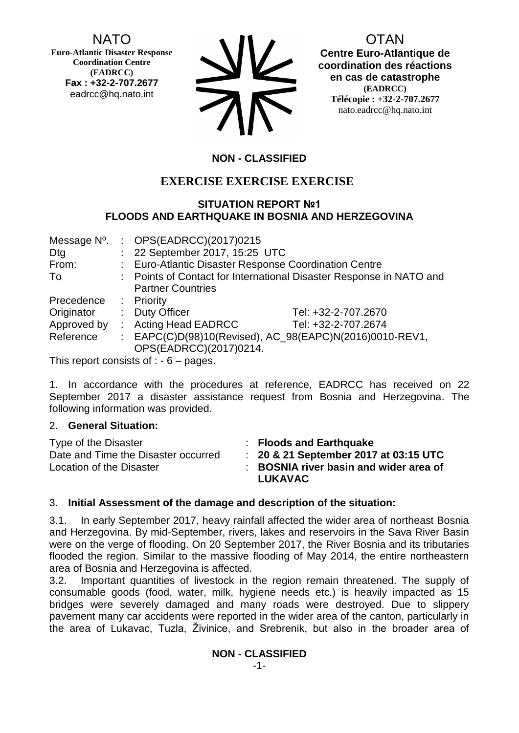NATO

**Euro-Atlantic Disaster Response Coordination Centre (EADRCC) Fax : +32-2-707.2677** eadrcc@hq.nato.int

| <b>SV</b> |
|-----------|
| 75        |

OTAN

**Centre Euro-Atlantique de coordination des réactions en cas de catastrophe (EADRCC) Télécopie : +32-2-707.2677** nato.eadrcc@hq.nato.int

# **NON - CLASSIFIED**

# **EXERCISE EXERCISE EXERCISE**

## **SITUATION REPORT №1 FLOODS AND EARTHQUAKE IN BOSNIA AND HERZEGOVINA**

| Message N°. |                                                         | : $OPS(EADRCC)(2017)0215$                                           |                     |  |
|-------------|---------------------------------------------------------|---------------------------------------------------------------------|---------------------|--|
| Dtg         |                                                         | : 22 September 2017, 15:25 UTC                                      |                     |  |
| From:       |                                                         | : Euro-Atlantic Disaster Response Coordination Centre               |                     |  |
| To          |                                                         | : Points of Contact for International Disaster Response in NATO and |                     |  |
|             |                                                         | <b>Partner Countries</b>                                            |                     |  |
| Precedence  |                                                         | : Priority                                                          |                     |  |
| Originator  | t.                                                      | <b>Duty Officer</b>                                                 | Tel: +32-2-707.2670 |  |
|             |                                                         | Approved by : Acting Head EADRCC                                    | Tel: +32-2-707.2674 |  |
| Reference   | : EAPC(C)D(98)10(Revised), AC_98(EAPC)N(2016)0010-REV1, |                                                                     |                     |  |
|             |                                                         | OPS(EADRCC)(2017)0214.                                              |                     |  |
|             |                                                         | This report consists of $\cdot$ $\cdot$ $\cdot$ posses              |                     |  |

This report consists of  $: -6 -$  pages.

1. In accordance with the procedures at reference, EADRCC has received on 22 September 2017 a disaster assistance request from Bosnia and Herzegovina. The following information was provided.

#### 2. **General Situation:**

| Type of the Disaster<br>Date and Time the Disaster occurred<br>Location of the Disaster | : Floods and Earthquake<br>$\therefore$ 20 & 21 September 2017 at 03:15 UTC<br>: BOSNIA river basin and wider area of |
|-----------------------------------------------------------------------------------------|-----------------------------------------------------------------------------------------------------------------------|
|                                                                                         | <b>LUKAVAC</b>                                                                                                        |

## 3. **Initial Assessment of the damage and description of the situation:**

3.1. In early September 2017, heavy rainfall affected the wider area of northeast Bosnia and Herzegovina. By mid-September, rivers, lakes and reservoirs in the Sava River Basin were on the verge of flooding. On 20 September 2017, the River Bosnia and its tributaries flooded the region. Similar to the massive flooding of May 2014, the entire northeastern area of Bosnia and Herzegovina is affected.

3.2. Important quantities of livestock in the region remain threatened. The supply of consumable goods (food, water, milk, hygiene needs etc.) is heavily impacted as 15 bridges were severely damaged and many roads were destroyed. Due to slippery pavement many car accidents were reported in the wider area of the canton, particularly in the area of Lukavac, Tuzla, Živinice, and Srebrenik, but also in the broader area of

**NON - CLASSIFIED**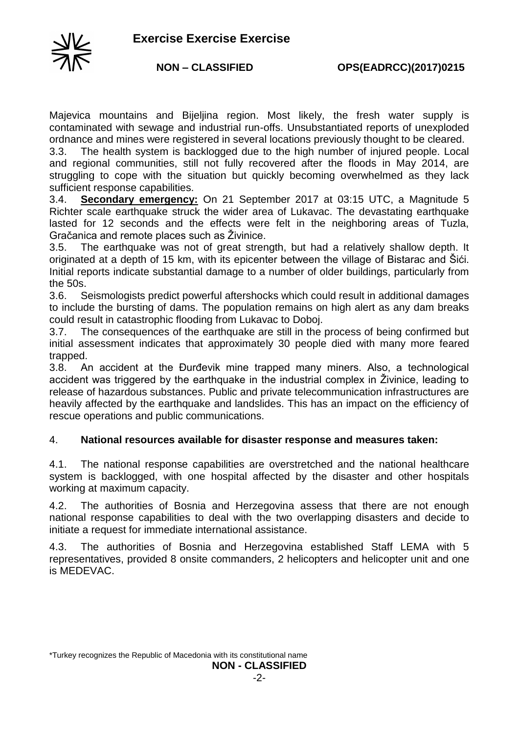

Majevica mountains and Bijeljina region. Most likely, the fresh water supply is contaminated with sewage and industrial run-offs. Unsubstantiated reports of unexploded ordnance and mines were registered in several locations previously thought to be cleared.

3.3. The health system is backlogged due to the high number of injured people. Local and regional communities, still not fully recovered after the floods in May 2014, are struggling to cope with the situation but quickly becoming overwhelmed as they lack sufficient response capabilities.

3.4. **Secondary emergency:** On 21 September 2017 at 03:15 UTC, a Magnitude 5 Richter scale earthquake struck the wider area of Lukavac. The devastating earthquake lasted for 12 seconds and the effects were felt in the neighboring areas of Tuzla, Gračanica and remote places such as Živinice.

3.5. The earthquake was not of great strength, but had a relatively shallow depth. It originated at a depth of 15 km, with its epicenter between the village of Bistarac and Šići. Initial reports indicate substantial damage to a number of older buildings, particularly from the 50s.

3.6. Seismologists predict powerful aftershocks which could result in additional damages to include the bursting of dams. The population remains on high alert as any dam breaks could result in catastrophic flooding from Lukavac to Doboj.

3.7. The consequences of the earthquake are still in the process of being confirmed but initial assessment indicates that approximately 30 people died with many more feared trapped.

3.8. An accident at the Đurđevik mine trapped many miners. Also, a technological accident was triggered by the earthquake in the industrial complex in Živinice, leading to release of hazardous substances. Public and private telecommunication infrastructures are heavily affected by the earthquake and landslides. This has an impact on the efficiency of rescue operations and public communications.

## 4. **National resources available for disaster response and measures taken:**

4.1. The national response capabilities are overstretched and the national healthcare system is backlogged, with one hospital affected by the disaster and other hospitals working at maximum capacity.

4.2. The authorities of Bosnia and Herzegovina assess that there are not enough national response capabilities to deal with the two overlapping disasters and decide to initiate a request for immediate international assistance.

4.3. The authorities of Bosnia and Herzegovina established Staff LEMA with 5 representatives, provided 8 onsite commanders, 2 helicopters and helicopter unit and one is MEDEVAC.

<sup>\*</sup>Turkey recognizes the Republic of Macedonia with its constitutional name **NON - CLASSIFIED**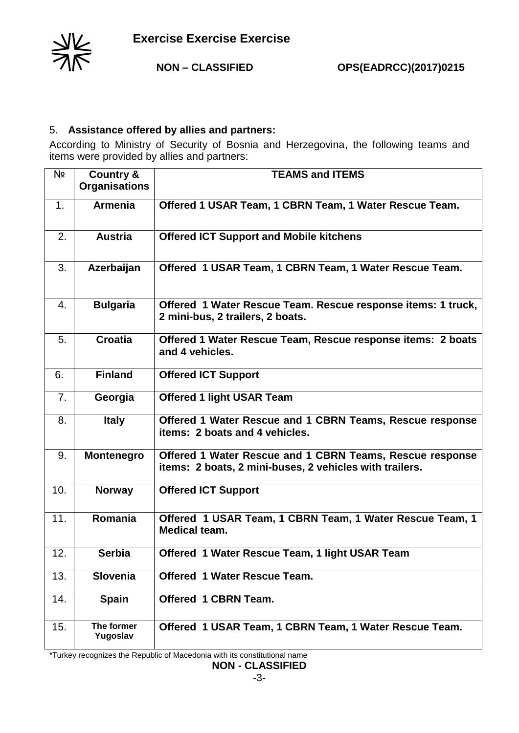

## 5. **Assistance offered by allies and partners:**

According to Ministry of Security of Bosnia and Herzegovina, the following teams and items were provided by allies and partners:

| Nº  | <b>Country &amp;</b> | <b>TEAMS and ITEMS</b>                                                         |
|-----|----------------------|--------------------------------------------------------------------------------|
|     | <b>Organisations</b> |                                                                                |
| 1.  | <b>Armenia</b>       | Offered 1 USAR Team, 1 CBRN Team, 1 Water Rescue Team.                         |
|     |                      |                                                                                |
|     |                      |                                                                                |
| 2.  | <b>Austria</b>       | <b>Offered ICT Support and Mobile kitchens</b>                                 |
|     |                      |                                                                                |
|     |                      |                                                                                |
| 3.  | Azerbaijan           | Offered 1 USAR Team, 1 CBRN Team, 1 Water Rescue Team.                         |
|     |                      |                                                                                |
|     |                      |                                                                                |
| 4.  | <b>Bulgaria</b>      | Offered 1 Water Rescue Team. Rescue response items: 1 truck,                   |
|     |                      | 2 mini-bus, 2 trailers, 2 boats.                                               |
| 5.  | <b>Croatia</b>       |                                                                                |
|     |                      | Offered 1 Water Rescue Team, Rescue response items: 2 boats<br>and 4 vehicles. |
|     |                      |                                                                                |
| 6.  | <b>Finland</b>       | <b>Offered ICT Support</b>                                                     |
|     |                      |                                                                                |
| 7.  | Georgia              | <b>Offered 1 light USAR Team</b>                                               |
|     |                      |                                                                                |
| 8.  | <b>Italy</b>         | Offered 1 Water Rescue and 1 CBRN Teams, Rescue response                       |
|     |                      | items: 2 boats and 4 vehicles.                                                 |
|     |                      |                                                                                |
| 9.  | <b>Montenegro</b>    | Offered 1 Water Rescue and 1 CBRN Teams, Rescue response                       |
|     |                      | items: 2 boats, 2 mini-buses, 2 vehicles with trailers.                        |
|     |                      |                                                                                |
| 10. | <b>Norway</b>        | <b>Offered ICT Support</b>                                                     |
|     |                      |                                                                                |
| 11. | Romania              | Offered 1 USAR Team, 1 CBRN Team, 1 Water Rescue Team, 1                       |
|     |                      | <b>Medical team.</b>                                                           |
|     |                      |                                                                                |
| 12. | <b>Serbia</b>        | Offered 1 Water Rescue Team, 1 light USAR Team                                 |
|     |                      |                                                                                |
| 13. | Slovenia             | <b>Offered 1 Water Rescue Team.</b>                                            |
|     |                      |                                                                                |
| 14. | <b>Spain</b>         | Offered 1 CBRN Team.                                                           |
|     |                      |                                                                                |
| 15. | The former           | Offered 1 USAR Team, 1 CBRN Team, 1 Water Rescue Team.                         |
|     | Yugoslav             |                                                                                |

\*Turkey recognizes the Republic of Macedonia with its constitutional name

**NON - CLASSIFIED**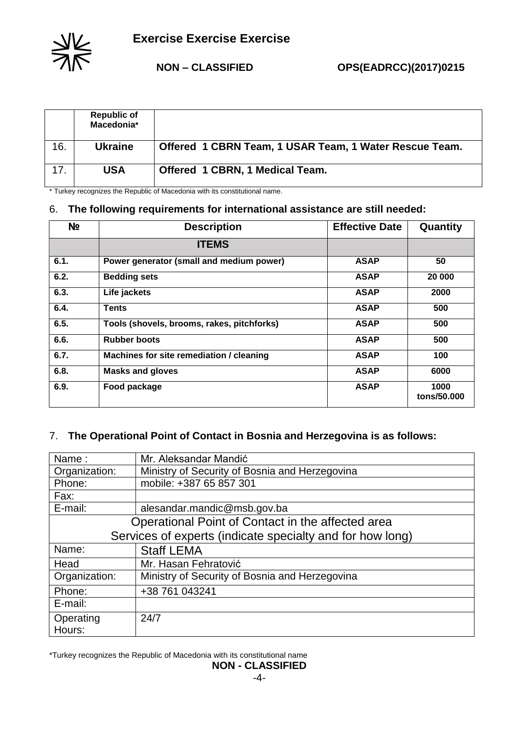

 **Exercise Exercise Exercise** 

|     | <b>Republic of</b><br>Macedonia* |                                                        |
|-----|----------------------------------|--------------------------------------------------------|
| 16. | <b>Ukraine</b>                   | Offered 1 CBRN Team, 1 USAR Team, 1 Water Rescue Team. |
|     | USA                              | Offered 1 CBRN, 1 Medical Team.                        |

\* Turkey recognizes the Republic of Macedonia with its constitutional name.

## 6. **The following requirements for international assistance are still needed:**

| Nº   | <b>Description</b>                         | <b>Effective Date</b> | Quantity            |
|------|--------------------------------------------|-----------------------|---------------------|
|      | <b>ITEMS</b>                               |                       |                     |
| 6.1. | Power generator (small and medium power)   | <b>ASAP</b>           | 50                  |
| 6.2. | <b>Bedding sets</b>                        | <b>ASAP</b>           | 20 000              |
| 6.3. | Life jackets                               | <b>ASAP</b>           | 2000                |
| 6.4. | <b>Tents</b>                               | <b>ASAP</b>           | 500                 |
| 6.5. | Tools (shovels, brooms, rakes, pitchforks) | <b>ASAP</b>           | 500                 |
| 6.6. | <b>Rubber boots</b>                        | <b>ASAP</b>           | 500                 |
| 6.7. | Machines for site remediation / cleaning   | <b>ASAP</b>           | 100                 |
| 6.8. | <b>Masks and gloves</b>                    | <b>ASAP</b>           | 6000                |
| 6.9. | Food package                               | <b>ASAP</b>           | 1000<br>tons/50.000 |

## 7. **The Operational Point of Contact in Bosnia and Herzegovina is as follows:**

| Name:                                                     | Mr. Aleksandar Mandić                          |  |
|-----------------------------------------------------------|------------------------------------------------|--|
| Organization:                                             | Ministry of Security of Bosnia and Herzegovina |  |
| Phone:                                                    | mobile: +387 65 857 301                        |  |
| Fax:                                                      |                                                |  |
| E-mail:                                                   | alesandar.mandic@msb.gov.ba                    |  |
| Operational Point of Contact in the affected area         |                                                |  |
| Services of experts (indicate specialty and for how long) |                                                |  |
| Name:                                                     | <b>Staff LEMA</b>                              |  |
| Head                                                      | Mr. Hasan Fehratović                           |  |
| Organization:                                             | Ministry of Security of Bosnia and Herzegovina |  |
| Phone:                                                    | +38 761 043241                                 |  |
| E-mail:                                                   |                                                |  |
| Operating<br>Hours:                                       | 24/7                                           |  |

\*Turkey recognizes the Republic of Macedonia with its constitutional name

#### **NON - CLASSIFIED**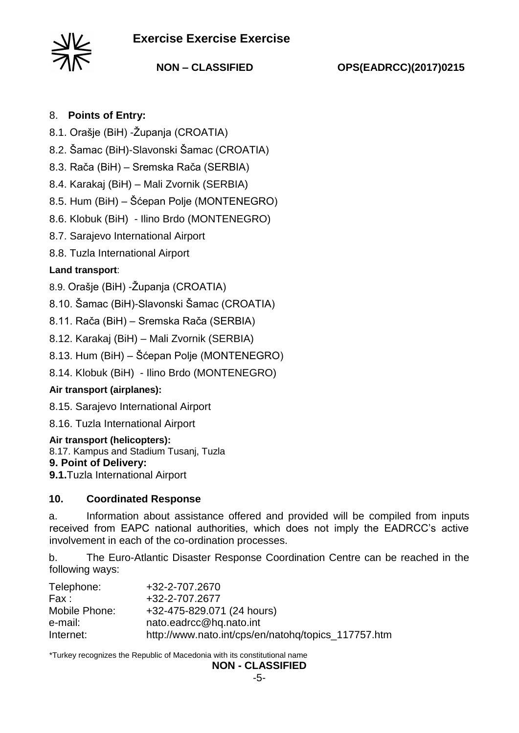# **Exercise Exercise Exercise**



**NON – CLASSIFIED OPS(EADRCC)(2017)0215**

## 8. **Points of Entry:**

- 8.1. Orašje (BiH) -Županja (CROATIA)
- 8.2. Šamac (BiH)-Slavonski Šamac (CROATIA)
- 8.3. Rača (BiH) Sremska Rača (SERBIA)
- 8.4. Karakaj (BiH) Mali Zvornik (SERBIA)

8.5. Hum (BiH) – Šćepan Polje (MONTENEGRO)

8.6. Klobuk (BiH) - Ilino Brdo (MONTENEGRO)

- 8.7. Sarajevo International Airport
- 8.8. Tuzla International Airport

## **Land transport**:

- 8.9. Orašje (BiH) -Županja (CROATIA)
- 8.10. Šamac (BiH)-Slavonski Šamac (CROATIA)
- 8.11. Rača (BiH) Sremska Rača (SERBIA)
- 8.12. Karakaj (BiH) Mali Zvornik (SERBIA)
- 8.13. Hum (BiH) Šćepan Polje (MONTENEGRO)
- 8.14. Klobuk (BiH) Ilino Brdo (MONTENEGRO)

## **Air transport (airplanes):**

- 8.15. Sarajevo International Airport
- 8.16. Tuzla International Airport

#### **Air transport (helicopters):**

8.17. Kampus and Stadium Tusanj, Tuzla

### **9. Point of Delivery:**

**9.1.**Tuzla International Airport

## **10. Coordinated Response**

a. Information about assistance offered and provided will be compiled from inputs received from EAPC national authorities, which does not imply the EADRCC's active involvement in each of the co-ordination processes.

b. The Euro-Atlantic Disaster Response Coordination Centre can be reached in the following ways:

| +32-2-707.2670                                      |
|-----------------------------------------------------|
| +32-2-707.2677                                      |
| +32-475-829.071 (24 hours)                          |
| nato.eadrcc@hq.nato.int                             |
| http://www.nato.int/cps/en/natohq/topics_117757.htm |
|                                                     |

\*Turkey recognizes the Republic of Macedonia with its constitutional name